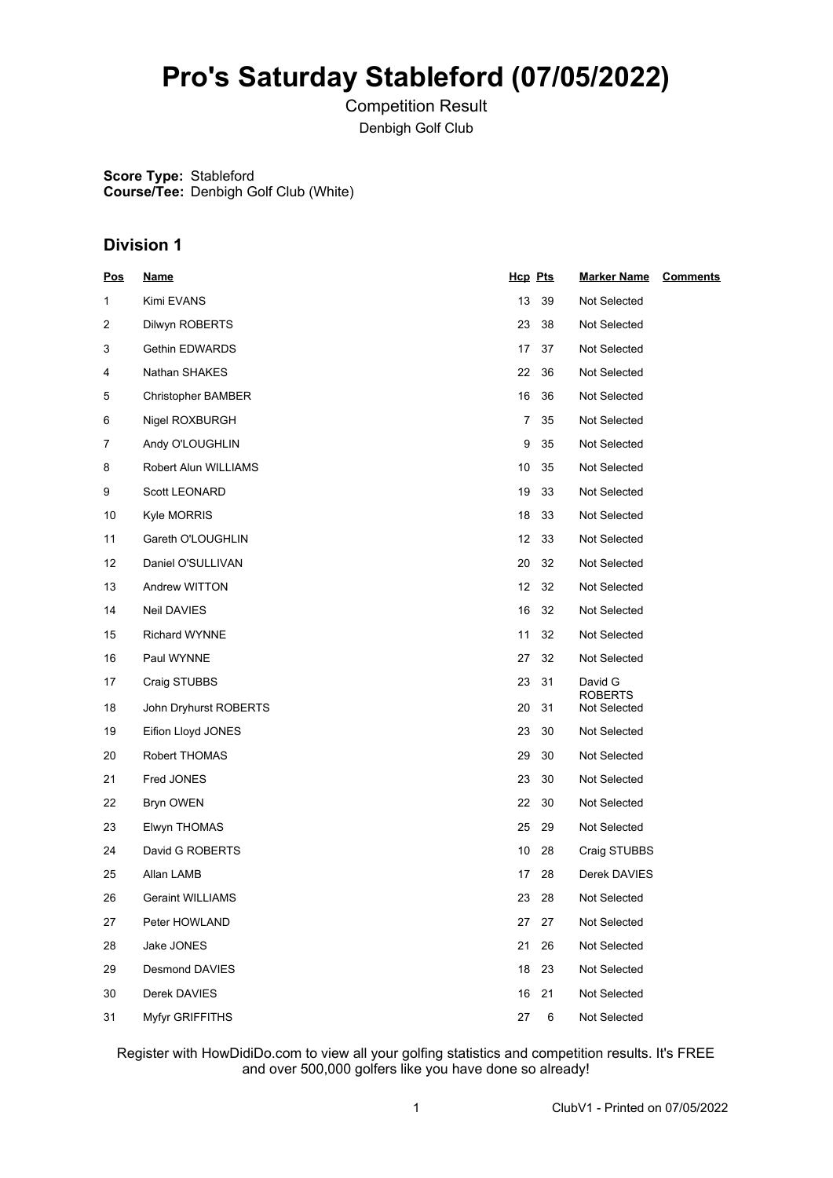## **Pro's Saturday Stableford (07/05/2022)**

Competition Result Denbigh Golf Club

**Score Type:** Stableford **Course/Tee:** Denbigh Golf Club (White)

## **Division 1**

| <u>Pos</u> | <u>Name</u>               | Hcp Pts |    | <b>Marker Name</b>        | <b>Comments</b> |
|------------|---------------------------|---------|----|---------------------------|-----------------|
| 1          | Kimi EVANS                | 13      | 39 | Not Selected              |                 |
| 2          | Dilwyn ROBERTS            | 23      | 38 | Not Selected              |                 |
| 3          | Gethin EDWARDS            | 17      | 37 | Not Selected              |                 |
| 4          | Nathan SHAKES             | 22      | 36 | Not Selected              |                 |
| 5          | <b>Christopher BAMBER</b> | 16      | 36 | Not Selected              |                 |
| 6          | Nigel ROXBURGH            | 7       | 35 | Not Selected              |                 |
| 7          | Andy O'LOUGHLIN           | 9       | 35 | Not Selected              |                 |
| 8          | Robert Alun WILLIAMS      | 10      | 35 | Not Selected              |                 |
| 9          | Scott LEONARD             | 19      | 33 | Not Selected              |                 |
| 10         | Kyle MORRIS               | 18      | 33 | Not Selected              |                 |
| 11         | Gareth O'LOUGHLIN         | 12      | 33 | Not Selected              |                 |
| 12         | Daniel O'SULLIVAN         | 20      | 32 | Not Selected              |                 |
| 13         | Andrew WITTON             | 12      | 32 | Not Selected              |                 |
| 14         | Neil DAVIES               | 16      | 32 | Not Selected              |                 |
| 15         | <b>Richard WYNNE</b>      | 11      | 32 | Not Selected              |                 |
| 16         | Paul WYNNE                | 27      | 32 | Not Selected              |                 |
| 17         | Craig STUBBS              | 23      | 31 | David G<br><b>ROBERTS</b> |                 |
| 18         | John Dryhurst ROBERTS     | 20      | 31 | Not Selected              |                 |
| 19         | Eifion Lloyd JONES        | 23      | 30 | Not Selected              |                 |
| 20         | Robert THOMAS             | 29      | 30 | Not Selected              |                 |
| 21         | Fred JONES                | 23      | 30 | Not Selected              |                 |
| 22         | Bryn OWEN                 | 22      | 30 | Not Selected              |                 |
| 23         | Elwyn THOMAS              | 25      | 29 | Not Selected              |                 |
| 24         | David G ROBERTS           | 10      | 28 | Craig STUBBS              |                 |
| 25         | Allan LAMB                | 17      | 28 | Derek DAVIES              |                 |
| 26         | <b>Geraint WILLIAMS</b>   | 23      | 28 | Not Selected              |                 |
| 27         | Peter HOWLAND             | 27      | 27 | Not Selected              |                 |
| 28         | Jake JONES                | 21      | 26 | Not Selected              |                 |
| 29         | Desmond DAVIES            | 18      | 23 | Not Selected              |                 |
| 30         | Derek DAVIES              | 16      | 21 | Not Selected              |                 |
| 31         | Myfyr GRIFFITHS           | 27      | 6  | Not Selected              |                 |

Register with HowDidiDo.com to view all your golfing statistics and competition results. It's FREE and over 500,000 golfers like you have done so already!